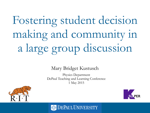# a large group discussion Fostering student decision making and community in

#### Mary Bridget Kustusch

Physics Department DePaul Teaching and Learning Conference 1 May 2015





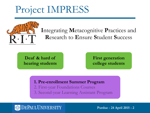# Project IMPRESS



DES **DEPAUL UNIVERSITY** GRAPHIC IDENTITY STANDARDS, *JANUARY <sup>2009</sup>* IGN ELEMENTS

the background color. When PMS color palettes

### **I**ntegrating **M**etacognitive **P**ractices and **R**esearch to **E**nsure **S**tudent **S**uccess

**Deaf & hard of hearing students** **First generation college students**

#### 1. Pre-enrollment Summer Program **1. Pre-enrollment Summer Program**

- 2. First-year Foundations Courses
- 3. Second-year Learning Assistant Program

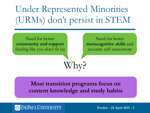# Under Represented Minorities (URMs) don't persist in STEM

DES **DEPAUL UNIVERSITY** GRAPHIC IDENTITY STANDARDS, *JANUARY <sup>2009</sup>* IGN ELEMENTS Need for better **community and support** (feeling like you don't fit in)

Need for better **metacognitive skills** and accurate self-assessment

### **Most transition programs focus on content knowledge and study habits**

Why?



the background color. When PMS color palettes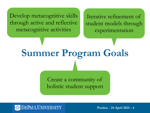Develop metacognitive skills through active and reflective metacognitive activities

Iterative refinement of student models through experimentation

DES **DEPAUL UNIVERSITY** GRAPHIC IDENTITY STANDARDS, *JANUARY <sup>2009</sup>* IGN ELEMENTS **Summer Program Goals**

> Create a community of holistic student support



the background color. When PMS color palettes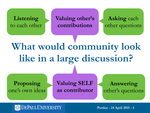### **Listening** to each other

**Valuing other's contributions**

**Asking** each other questions

### **What would community look like in a large discussion? Proposing** one's own ideas **Answering** other's questions **Valuing SELF as contributor**

#### **EPAUL UNIVERSITY**

the background color. When PMS color palettes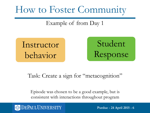# How to Foster Community

### Example of from Day 1

behavior Instructor

Student Response

### Task: Create a sign for "metacognition"

Episode was chosen to be a good example, but is consistent with interactions throughout program



the background color. When PMS color palettes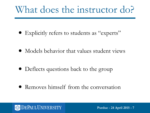- Explicitly refers to students as "experts"
- **UNIVERSITY DEPAYSER** • Models behavior that values student views
	- Deflects questions back to the group
	- Removes himself from the conversation

#### **DEPAUL UNIVERSITY**

the background color. When PMS color palettes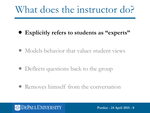- **• Explicitly refers to students as "experts"**
- **UNIVERS DEFIEVIOR** • Models behavior that values student views
	- Deflects questions back to the group
	- Removes himself from the conversation

#### **DEPAUL UNIVERSITY**

the background color. When PMS color palettes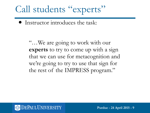# Call students "experts"

• Instructor introduces the task:

DES **DEPAUL UNIVERSITY** GRAPHIC IDENTITY STANDARDS, *JANUARY <sup>2009</sup>* IGN ELEMENTS "…We are going to work with our **experts** to try to come up with a sign that we can use for metacognition and we're going to try to use that sign for the rest of the IMPRESS program."



the background color. When PMS color palettes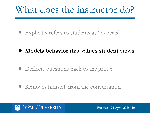- Explicitly refers to students as "experts"
- **UNIVERSIDERITY DESCRIPTION • Models behavior that values student views** 
	- Deflects questions back to the group
	- Removes himself from the conversation

#### **DEPAUL UNIVERSITY**

the background color. When PMS color palettes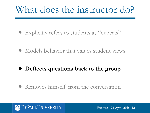- Explicitly refers to students as "experts"
- **UNIVERS DEFIEVIOR** • Models behavior that values student views
	- **• Deflects questions back to the group**
	- Removes himself from the conversation

#### **DEPAUL UNIVERSITY**

the background color. When PMS color palettes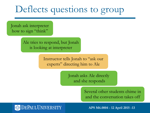## Deflects questions to group

Jonah ask interpreter how to sign "think"

DES **DEPAUL UNIVERSITY** GRAPHIC IDENTITY STANDARDS, *JANUARY <sup>2009</sup>* IGN ELEMENTS

the background color. When PMS color palettes

Ale tries to respond, but Jonah is looking at interpreter

> Instructor tells Jonah to "ask our experts" directing him to Ale

> > Jonah asks Ale directly and she responds

> > > Several other students chime in and the conversation takes off

#### DEPAUL UNIVERSITY

**APS M6.0004 - 12 April 2015 - 13**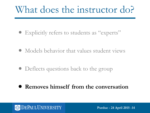- Explicitly refers to students as "experts"
- **UNIVERS DEFIEVIOR** • Models behavior that values student views
	- Deflects questions back to the group
	- **• Removes himself from the conversation**

#### **DEPAUL UNIVERSITY**

the background color. When PMS color palettes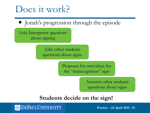### Does it work?

• Jonah's progression through the episode

Asks Interpreter questions about signing

DES **DEPAUL UNIVERSITY** GRAPHIC IDENTITY STANDARDS, *JANUARY <sup>2009</sup>* IGN ELEMENTS Asks other students questions about signs

> Proposes his own ideas for the "metacognition" sign

> > Answers other students questions about signs

### **Students decide on the sign!**



the background color. When PMS color palettes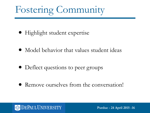# Fostering Community

- Highlight student expertise
- **UNIVERSITY DES ENERGISHMENTS** • Model behavior that values student ideas
	- Deflect questions to peer groups
	- Remove ourselves from the conversation!



the background color. When PMS color palettes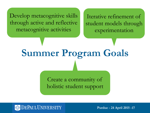Develop metacognitive skills through active and reflective metacognitive activities

Iterative refinement of student models through experimentation

DES **DEPAUL UNIVERSITY** GRAPHIC IDENTITY STANDARDS, *JANUARY <sup>2009</sup>* IGN ELEMENTS **Summer Program Goals**

> Create a community of holistic student support



the background color. When PMS color palettes